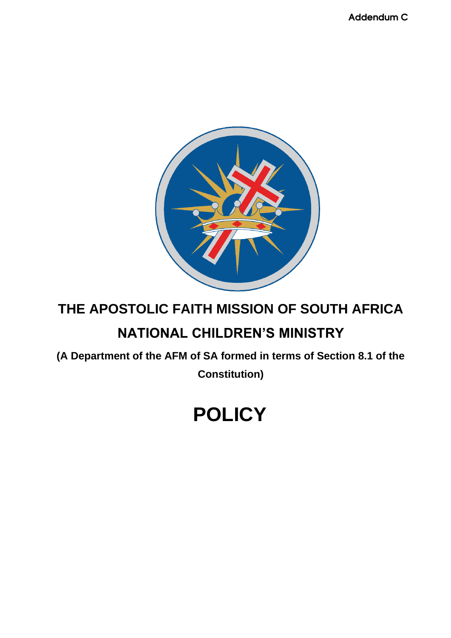Addendum C



# **THE APOSTOLIC FAITH MISSION OF SOUTH AFRICA**

# **NATIONAL CHILDREN'S MINISTRY**

**(A Department of the AFM of SA formed in terms of Section 8.1 of the** 

**Constitution)**

# **POLICY**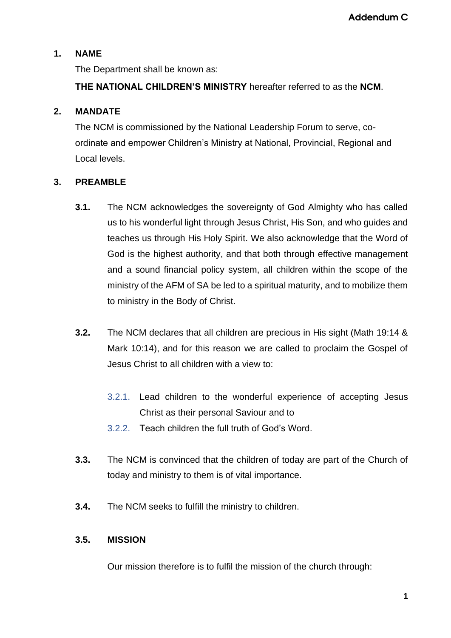# **1. NAME**

The Department shall be known as:

**THE NATIONAL CHILDREN'S MINISTRY** hereafter referred to as the **NCM**.

# **2. MANDATE**

The NCM is commissioned by the National Leadership Forum to serve, coordinate and empower Children's Ministry at National, Provincial, Regional and Local levels.

# **3. PREAMBLE**

- **3.1.** The NCM acknowledges the sovereignty of God Almighty who has called us to his wonderful light through Jesus Christ, His Son, and who guides and teaches us through His Holy Spirit. We also acknowledge that the Word of God is the highest authority, and that both through effective management and a sound financial policy system, all children within the scope of the ministry of the AFM of SA be led to a spiritual maturity, and to mobilize them to ministry in the Body of Christ.
- **3.2.** The NCM declares that all children are precious in His sight (Math 19:14 & Mark 10:14), and for this reason we are called to proclaim the Gospel of Jesus Christ to all children with a view to:
	- 3.2.1. Lead children to the wonderful experience of accepting Jesus Christ as their personal Saviour and to
	- 3.2.2. Teach children the full truth of God's Word.
- **3.3.** The NCM is convinced that the children of today are part of the Church of today and ministry to them is of vital importance.
- **3.4.** The NCM seeks to fulfill the ministry to children.

#### **3.5. MISSION**

Our mission therefore is to fulfil the mission of the church through: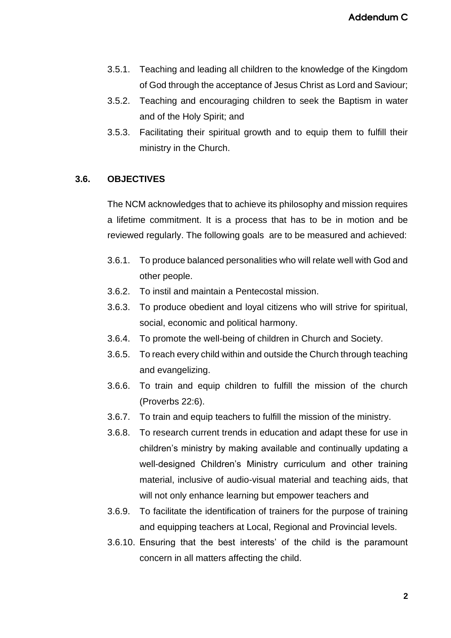- 3.5.1. Teaching and leading all children to the knowledge of the Kingdom of God through the acceptance of Jesus Christ as Lord and Saviour;
- 3.5.2. Teaching and encouraging children to seek the Baptism in water and of the Holy Spirit; and
- 3.5.3. Facilitating their spiritual growth and to equip them to fulfill their ministry in the Church.

#### **3.6. OBJECTIVES**

The NCM acknowledges that to achieve its philosophy and mission requires a lifetime commitment. It is a process that has to be in motion and be reviewed regularly. The following goals are to be measured and achieved:

- 3.6.1. To produce balanced personalities who will relate well with God and other people.
- 3.6.2. To instil and maintain a Pentecostal mission.
- 3.6.3. To produce obedient and loyal citizens who will strive for spiritual, social, economic and political harmony.
- 3.6.4. To promote the well-being of children in Church and Society.
- 3.6.5. To reach every child within and outside the Church through teaching and evangelizing.
- 3.6.6. To train and equip children to fulfill the mission of the church (Proverbs 22:6).
- 3.6.7. To train and equip teachers to fulfill the mission of the ministry.
- 3.6.8. To research current trends in education and adapt these for use in children's ministry by making available and continually updating a well-designed Children's Ministry curriculum and other training material, inclusive of audio-visual material and teaching aids, that will not only enhance learning but empower teachers and
- 3.6.9. To facilitate the identification of trainers for the purpose of training and equipping teachers at Local, Regional and Provincial levels.
- 3.6.10. Ensuring that the best interests' of the child is the paramount concern in all matters affecting the child.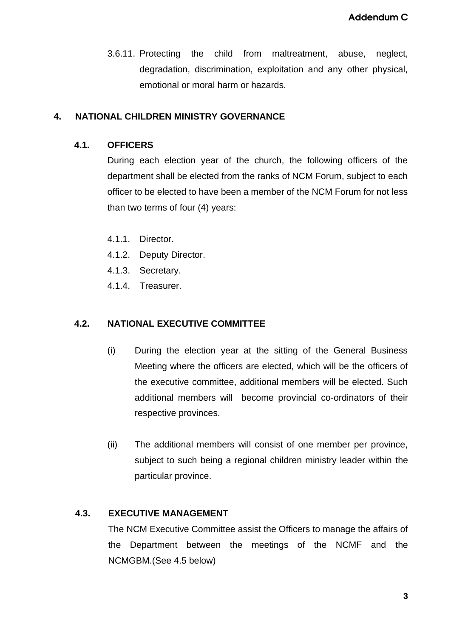3.6.11. Protecting the child from maltreatment, abuse, neglect, degradation, discrimination, exploitation and any other physical, emotional or moral harm or hazards.

# **4. NATIONAL CHILDREN MINISTRY GOVERNANCE**

#### **4.1. OFFICERS**

During each election year of the church, the following officers of the department shall be elected from the ranks of NCM Forum, subject to each officer to be elected to have been a member of the NCM Forum for not less than two terms of four (4) years:

- 4.1.1. Director.
- 4.1.2. Deputy Director.
- 4.1.3. Secretary.
- 4.1.4. Treasurer.

# **4.2. NATIONAL EXECUTIVE COMMITTEE**

- (i) During the election year at the sitting of the General Business Meeting where the officers are elected, which will be the officers of the executive committee, additional members will be elected. Such additional members will become provincial co-ordinators of their respective provinces.
- (ii) The additional members will consist of one member per province, subject to such being a regional children ministry leader within the particular province.

#### **4.3. EXECUTIVE MANAGEMENT**

The NCM Executive Committee assist the Officers to manage the affairs of the Department between the meetings of the NCMF and the NCMGBM.(See 4.5 below)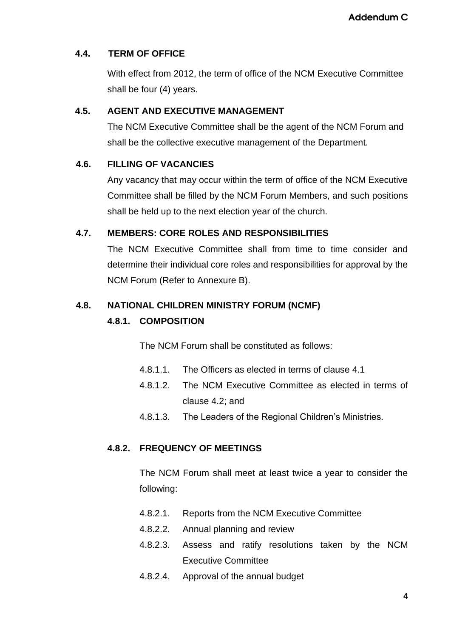# **4.4. TERM OF OFFICE**

With effect from 2012, the term of office of the NCM Executive Committee shall be four (4) years.

# **4.5. AGENT AND EXECUTIVE MANAGEMENT**

The NCM Executive Committee shall be the agent of the NCM Forum and shall be the collective executive management of the Department.

# **4.6. FILLING OF VACANCIES**

Any vacancy that may occur within the term of office of the NCM Executive Committee shall be filled by the NCM Forum Members, and such positions shall be held up to the next election year of the church.

# **4.7. MEMBERS: CORE ROLES AND RESPONSIBILITIES**

The NCM Executive Committee shall from time to time consider and determine their individual core roles and responsibilities for approval by the NCM Forum (Refer to Annexure B).

# **4.8. NATIONAL CHILDREN MINISTRY FORUM (NCMF)**

#### **4.8.1. COMPOSITION**

The NCM Forum shall be constituted as follows:

- 4.8.1.1. The Officers as elected in terms of clause 4.1
- 4.8.1.2. The NCM Executive Committee as elected in terms of clause 4.2; and
- 4.8.1.3. The Leaders of the Regional Children's Ministries.

#### **4.8.2. FREQUENCY OF MEETINGS**

The NCM Forum shall meet at least twice a year to consider the following:

- 4.8.2.1. Reports from the NCM Executive Committee
- 4.8.2.2. Annual planning and review
- 4.8.2.3. Assess and ratify resolutions taken by the NCM Executive Committee
- 4.8.2.4. Approval of the annual budget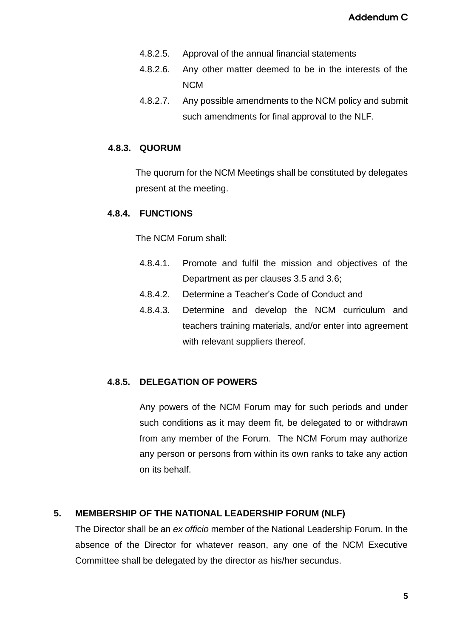- 4.8.2.5. Approval of the annual financial statements
- 4.8.2.6. Any other matter deemed to be in the interests of the NCM
- 4.8.2.7. Any possible amendments to the NCM policy and submit such amendments for final approval to the NLF.

#### **4.8.3. QUORUM**

The quorum for the NCM Meetings shall be constituted by delegates present at the meeting.

#### **4.8.4. FUNCTIONS**

The NCM Forum shall:

- 4.8.4.1. Promote and fulfil the mission and objectives of the Department as per clauses 3.5 and 3.6;
- 4.8.4.2. Determine a Teacher's Code of Conduct and
- 4.8.4.3. Determine and develop the NCM curriculum and teachers training materials, and/or enter into agreement with relevant suppliers thereof.

#### **4.8.5. DELEGATION OF POWERS**

Any powers of the NCM Forum may for such periods and under such conditions as it may deem fit, be delegated to or withdrawn from any member of the Forum. The NCM Forum may authorize any person or persons from within its own ranks to take any action on its behalf.

#### **5. MEMBERSHIP OF THE NATIONAL LEADERSHIP FORUM (NLF)**

The Director shall be an *ex officio* member of the National Leadership Forum. In the absence of the Director for whatever reason, any one of the NCM Executive Committee shall be delegated by the director as his/her secundus.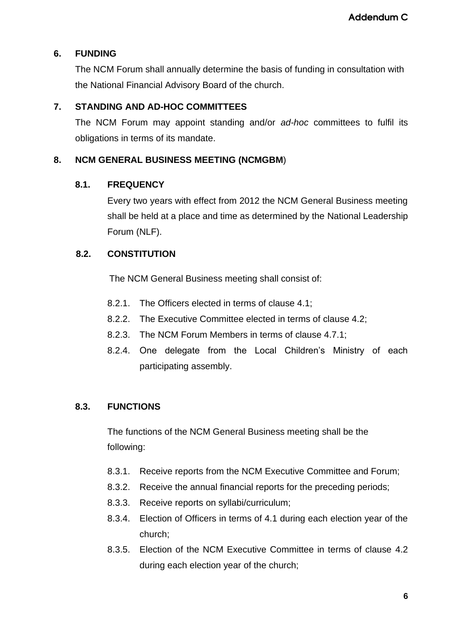# **6. FUNDING**

The NCM Forum shall annually determine the basis of funding in consultation with the National Financial Advisory Board of the church.

# **7. STANDING AND AD-HOC COMMITTEES**

The NCM Forum may appoint standing and/or *ad-hoc* committees to fulfil its obligations in terms of its mandate.

#### **8. NCM GENERAL BUSINESS MEETING (NCMGBM**)

#### **8.1. FREQUENCY**

Every two years with effect from 2012 the NCM General Business meeting shall be held at a place and time as determined by the National Leadership Forum (NLF).

# **8.2. CONSTITUTION**

The NCM General Business meeting shall consist of:

- 8.2.1. The Officers elected in terms of clause 4.1;
- 8.2.2. The Executive Committee elected in terms of clause 4.2;
- 8.2.3. The NCM Forum Members in terms of clause 4.7.1;
- 8.2.4. One delegate from the Local Children's Ministry of each participating assembly.

# **8.3. FUNCTIONS**

The functions of the NCM General Business meeting shall be the following:

- 8.3.1. Receive reports from the NCM Executive Committee and Forum;
- 8.3.2. Receive the annual financial reports for the preceding periods;
- 8.3.3. Receive reports on syllabi/curriculum;
- 8.3.4. Election of Officers in terms of 4.1 during each election year of the church;
- 8.3.5. Election of the NCM Executive Committee in terms of clause 4.2 during each election year of the church;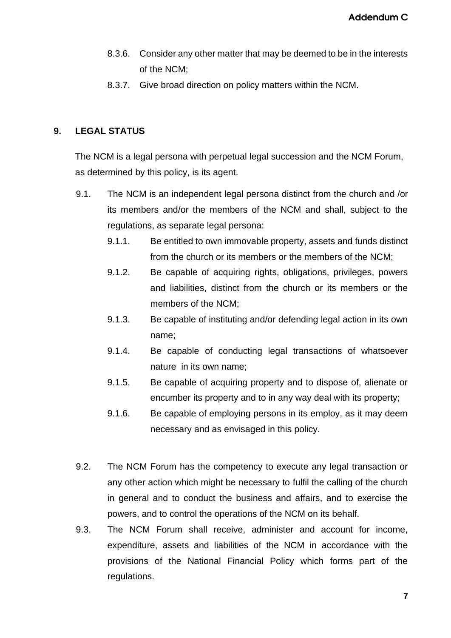- 8.3.6. Consider any other matter that may be deemed to be in the interests of the NCM;
- 8.3.7. Give broad direction on policy matters within the NCM.

#### **9. LEGAL STATUS**

The NCM is a legal persona with perpetual legal succession and the NCM Forum, as determined by this policy, is its agent.

- 9.1. The NCM is an independent legal persona distinct from the church and /or its members and/or the members of the NCM and shall, subject to the regulations, as separate legal persona:
	- 9.1.1. Be entitled to own immovable property, assets and funds distinct from the church or its members or the members of the NCM;
	- 9.1.2. Be capable of acquiring rights, obligations, privileges, powers and liabilities, distinct from the church or its members or the members of the NCM;
	- 9.1.3. Be capable of instituting and/or defending legal action in its own name;
	- 9.1.4. Be capable of conducting legal transactions of whatsoever nature in its own name;
	- 9.1.5. Be capable of acquiring property and to dispose of, alienate or encumber its property and to in any way deal with its property;
	- 9.1.6. Be capable of employing persons in its employ, as it may deem necessary and as envisaged in this policy.
- 9.2. The NCM Forum has the competency to execute any legal transaction or any other action which might be necessary to fulfil the calling of the church in general and to conduct the business and affairs, and to exercise the powers, and to control the operations of the NCM on its behalf.
- 9.3. The NCM Forum shall receive, administer and account for income, expenditure, assets and liabilities of the NCM in accordance with the provisions of the National Financial Policy which forms part of the regulations.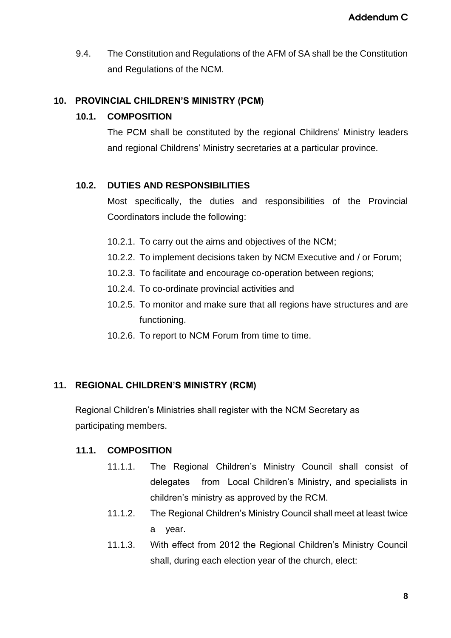9.4. The Constitution and Regulations of the AFM of SA shall be the Constitution and Regulations of the NCM.

#### **10. PROVINCIAL CHILDREN'S MINISTRY (PCM)**

#### **10.1. COMPOSITION**

The PCM shall be constituted by the regional Childrens' Ministry leaders and regional Childrens' Ministry secretaries at a particular province.

#### **10.2. DUTIES AND RESPONSIBILITIES**

Most specifically, the duties and responsibilities of the Provincial Coordinators include the following:

- 10.2.1. To carry out the aims and objectives of the NCM;
- 10.2.2. To implement decisions taken by NCM Executive and / or Forum;
- 10.2.3. To facilitate and encourage co-operation between regions;
- 10.2.4. To co-ordinate provincial activities and
- 10.2.5. To monitor and make sure that all regions have structures and are functioning.
- 10.2.6. To report to NCM Forum from time to time.

#### **11. REGIONAL CHILDREN'S MINISTRY (RCM)**

Regional Children's Ministries shall register with the NCM Secretary as participating members.

#### **11.1. COMPOSITION**

- 11.1.1. The Regional Children's Ministry Council shall consist of delegates from Local Children's Ministry, and specialists in children's ministry as approved by the RCM.
- 11.1.2. The Regional Children's Ministry Council shall meet at least twice a year.
- 11.1.3. With effect from 2012 the Regional Children's Ministry Council shall, during each election year of the church, elect: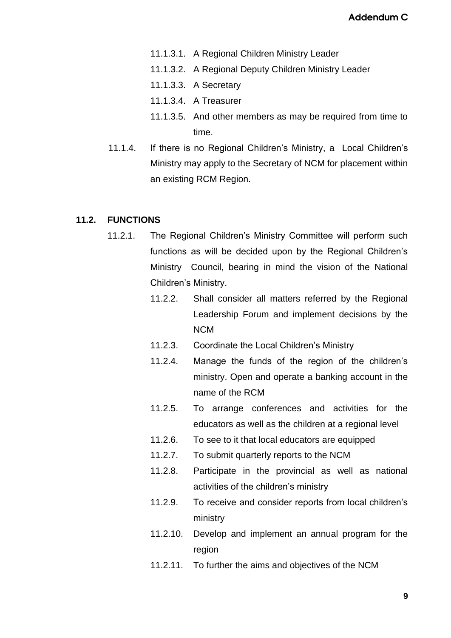- 11.1.3.1. A Regional Children Ministry Leader
- 11.1.3.2. A Regional Deputy Children Ministry Leader
- 11.1.3.3. A Secretary
- 11.1.3.4. A Treasurer
- 11.1.3.5. And other members as may be required from time to time.
- 11.1.4. If there is no Regional Children's Ministry, a Local Children's Ministry may apply to the Secretary of NCM for placement within an existing RCM Region.

#### **11.2. FUNCTIONS**

- 11.2.1. The Regional Children's Ministry Committee will perform such functions as will be decided upon by the Regional Children's Ministry Council, bearing in mind the vision of the National Children's Ministry.
	- 11.2.2. Shall consider all matters referred by the Regional Leadership Forum and implement decisions by the NCM
	- 11.2.3. Coordinate the Local Children's Ministry
	- 11.2.4. Manage the funds of the region of the children's ministry. Open and operate a banking account in the name of the RCM
	- 11.2.5. To arrange conferences and activities for the educators as well as the children at a regional level
	- 11.2.6. To see to it that local educators are equipped
	- 11.2.7. To submit quarterly reports to the NCM
	- 11.2.8. Participate in the provincial as well as national activities of the children's ministry
	- 11.2.9. To receive and consider reports from local children's ministry
	- 11.2.10. Develop and implement an annual program for the region
	- 11.2.11. To further the aims and objectives of the NCM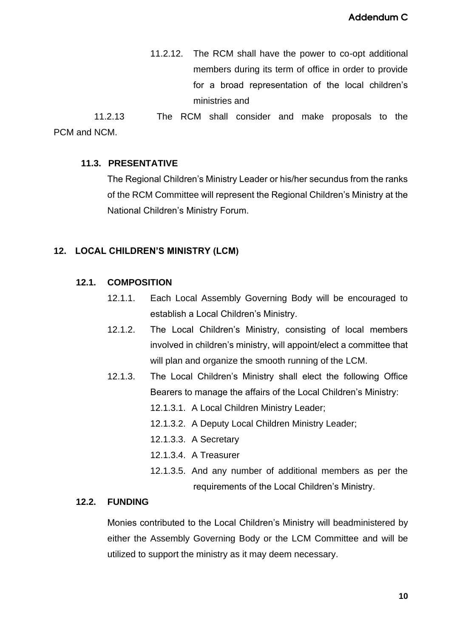11.2.12. The RCM shall have the power to co-opt additional members during its term of office in order to provide for a broad representation of the local children's ministries and

 11.2.13 The RCM shall consider and make proposals to the PCM and NCM.

#### **11.3. PRESENTATIVE**

The Regional Children's Ministry Leader or his/her secundus from the ranks of the RCM Committee will represent the Regional Children's Ministry at the National Children's Ministry Forum.

#### **12. LOCAL CHILDREN'S MINISTRY (LCM)**

#### **12.1. COMPOSITION**

- 12.1.1. Each Local Assembly Governing Body will be encouraged to establish a Local Children's Ministry.
- 12.1.2. The Local Children's Ministry, consisting of local members involved in children's ministry, will appoint/elect a committee that will plan and organize the smooth running of the LCM.
- 12.1.3. The Local Children's Ministry shall elect the following Office Bearers to manage the affairs of the Local Children's Ministry:
	- 12.1.3.1. A Local Children Ministry Leader;
	- 12.1.3.2. A Deputy Local Children Ministry Leader;
	- 12.1.3.3. A Secretary
	- 12.1.3.4. A Treasurer
	- 12.1.3.5. And any number of additional members as per the requirements of the Local Children's Ministry.

#### **12.2. FUNDING**

Monies contributed to the Local Children's Ministry will beadministered by either the Assembly Governing Body or the LCM Committee and will be utilized to support the ministry as it may deem necessary.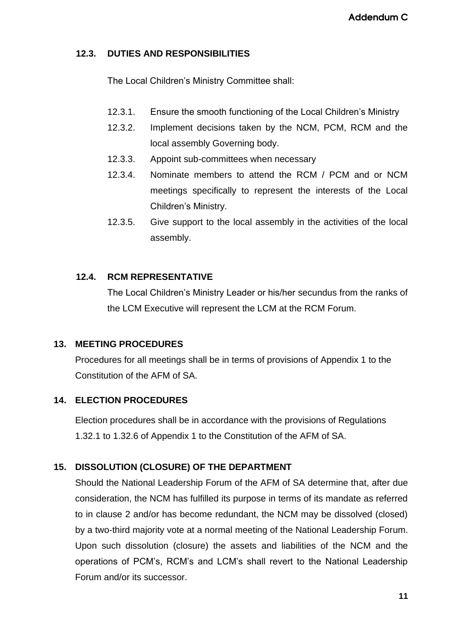#### **12.3. DUTIES AND RESPONSIBILITIES**

The Local Children's Ministry Committee shall:

- 12.3.1. Ensure the smooth functioning of the Local Children's Ministry
- 12.3.2. Implement decisions taken by the NCM, PCM, RCM and the local assembly Governing body.
- 12.3.3. Appoint sub-committees when necessary
- 12.3.4. Nominate members to attend the RCM / PCM and or NCM meetings specifically to represent the interests of the Local Children's Ministry.
- 12.3.5. Give support to the local assembly in the activities of the local assembly.

# **12.4. RCM REPRESENTATIVE**

The Local Children's Ministry Leader or his/her secundus from the ranks of the LCM Executive will represent the LCM at the RCM Forum.

#### **13. MEETING PROCEDURES**

Procedures for all meetings shall be in terms of provisions of Appendix 1 to the Constitution of the AFM of SA.

# **14. ELECTION PROCEDURES**

Election procedures shall be in accordance with the provisions of Regulations 1.32.1 to 1.32.6 of Appendix 1 to the Constitution of the AFM of SA.

# **15. DISSOLUTION (CLOSURE) OF THE DEPARTMENT**

Should the National Leadership Forum of the AFM of SA determine that, after due consideration, the NCM has fulfilled its purpose in terms of its mandate as referred to in clause 2 and/or has become redundant, the NCM may be dissolved (closed) by a two-third majority vote at a normal meeting of the National Leadership Forum. Upon such dissolution (closure) the assets and liabilities of the NCM and the operations of PCM's, RCM's and LCM's shall revert to the National Leadership Forum and/or its successor.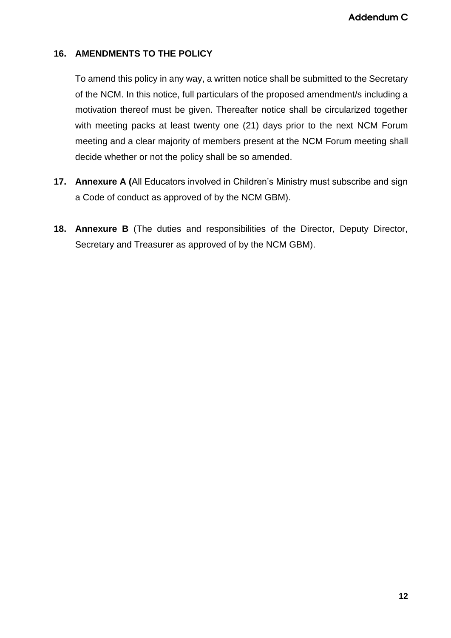#### **16. AMENDMENTS TO THE POLICY**

To amend this policy in any way, a written notice shall be submitted to the Secretary of the NCM. In this notice, full particulars of the proposed amendment/s including a motivation thereof must be given. Thereafter notice shall be circularized together with meeting packs at least twenty one (21) days prior to the next NCM Forum meeting and a clear majority of members present at the NCM Forum meeting shall decide whether or not the policy shall be so amended.

- **17. Annexure A (**All Educators involved in Children's Ministry must subscribe and sign a Code of conduct as approved of by the NCM GBM).
- **18. Annexure B** (The duties and responsibilities of the Director, Deputy Director, Secretary and Treasurer as approved of by the NCM GBM).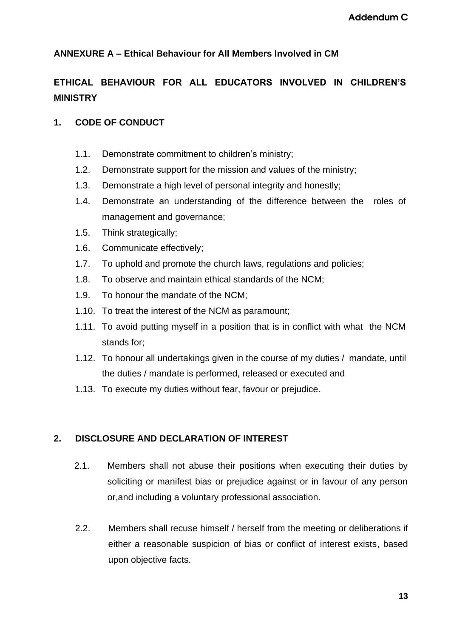# **ANNEXURE A – Ethical Behaviour for All Members Involved in CM**

# **ETHICAL BEHAVIOUR FOR ALL EDUCATORS INVOLVED IN CHILDREN'S MINISTRY**

#### **1. CODE OF CONDUCT**

- 1.1. Demonstrate commitment to children's ministry;
- 1.2. Demonstrate support for the mission and values of the ministry;
- 1.3. Demonstrate a high level of personal integrity and honestly;
- 1.4. Demonstrate an understanding of the difference between the roles of management and governance;
- 1.5. Think strategically;
- 1.6. Communicate effectively;
- 1.7. To uphold and promote the church laws, regulations and policies;
- 1.8. To observe and maintain ethical standards of the NCM;
- 1.9. To honour the mandate of the NCM;
- 1.10. To treat the interest of the NCM as paramount;
- 1.11. To avoid putting myself in a position that is in conflict with what the NCM stands for;
- 1.12. To honour all undertakings given in the course of my duties / mandate, until the duties / mandate is performed, released or executed and
- 1.13. To execute my duties without fear, favour or prejudice.

#### **2. DISCLOSURE AND DECLARATION OF INTEREST**

- 2.1. Members shall not abuse their positions when executing their duties by soliciting or manifest bias or prejudice against or in favour of any person or,and including a voluntary professional association.
- 2.2. Members shall recuse himself / herself from the meeting or deliberations if either a reasonable suspicion of bias or conflict of interest exists, based upon objective facts.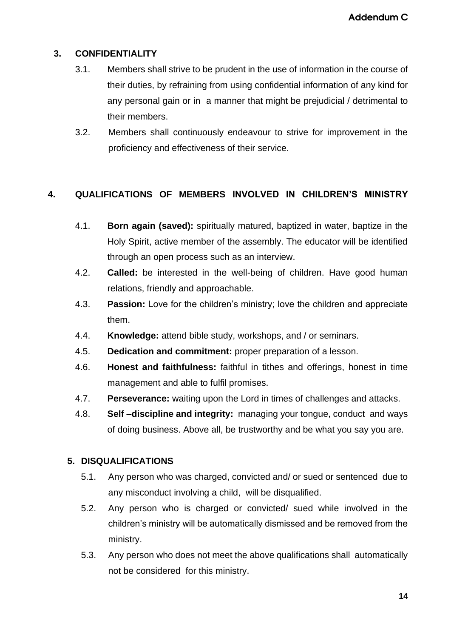# **3. CONFIDENTIALITY**

- 3.1. Members shall strive to be prudent in the use of information in the course of their duties, by refraining from using confidential information of any kind for any personal gain or in a manner that might be prejudicial / detrimental to their members.
- 3.2. Members shall continuously endeavour to strive for improvement in the proficiency and effectiveness of their service.

# **4. QUALIFICATIONS OF MEMBERS INVOLVED IN CHILDREN'S MINISTRY**

- 4.1. **Born again (saved):** spiritually matured, baptized in water, baptize in the Holy Spirit, active member of the assembly. The educator will be identified through an open process such as an interview.
- 4.2. **Called:** be interested in the well-being of children. Have good human relations, friendly and approachable.
- 4.3. **Passion:** Love for the children's ministry; love the children and appreciate them.
- 4.4. **Knowledge:** attend bible study, workshops, and / or seminars.
- 4.5. **Dedication and commitment:** proper preparation of a lesson.
- 4.6. **Honest and faithfulness:** faithful in tithes and offerings, honest in time management and able to fulfil promises.
- 4.7. **Perseverance:** waiting upon the Lord in times of challenges and attacks.
- 4.8. **Self –discipline and integrity:** managing your tongue, conduct and ways of doing business. Above all, be trustworthy and be what you say you are.

#### **5. DISQUALIFICATIONS**

- 5.1. Any person who was charged, convicted and/ or sued or sentenced due to any misconduct involving a child, will be disqualified.
- 5.2. Any person who is charged or convicted/ sued while involved in the children's ministry will be automatically dismissed and be removed from the ministry.
- 5.3. Any person who does not meet the above qualifications shall automatically not be considered for this ministry.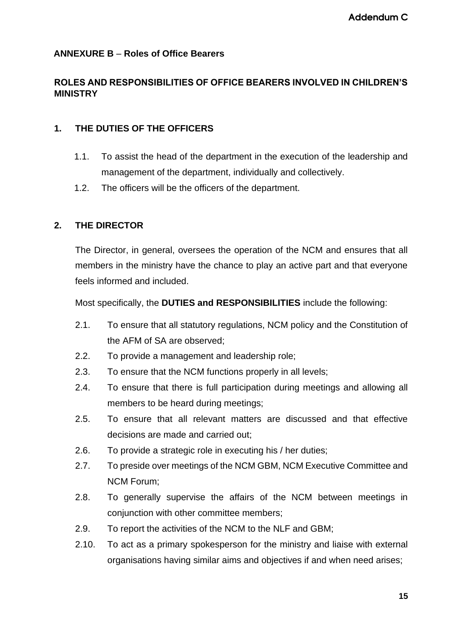#### **ANNEXURE B** – **Roles of Office Bearers**

#### **ROLES AND RESPONSIBILITIES OF OFFICE BEARERS INVOLVED IN CHILDREN'S MINISTRY**

#### **1. THE DUTIES OF THE OFFICERS**

- 1.1. To assist the head of the department in the execution of the leadership and management of the department, individually and collectively.
- 1.2. The officers will be the officers of the department.

# **2. THE DIRECTOR**

The Director, in general, oversees the operation of the NCM and ensures that all members in the ministry have the chance to play an active part and that everyone feels informed and included.

Most specifically, the **DUTIES and RESPONSIBILITIES** include the following:

- 2.1. To ensure that all statutory regulations, NCM policy and the Constitution of the AFM of SA are observed;
- 2.2. To provide a management and leadership role;
- 2.3. To ensure that the NCM functions properly in all levels;
- 2.4. To ensure that there is full participation during meetings and allowing all members to be heard during meetings;
- 2.5. To ensure that all relevant matters are discussed and that effective decisions are made and carried out;
- 2.6. To provide a strategic role in executing his / her duties;
- 2.7. To preside over meetings of the NCM GBM, NCM Executive Committee and NCM Forum;
- 2.8. To generally supervise the affairs of the NCM between meetings in conjunction with other committee members;
- 2.9. To report the activities of the NCM to the NLF and GBM;
- 2.10. To act as a primary spokesperson for the ministry and liaise with external organisations having similar aims and objectives if and when need arises;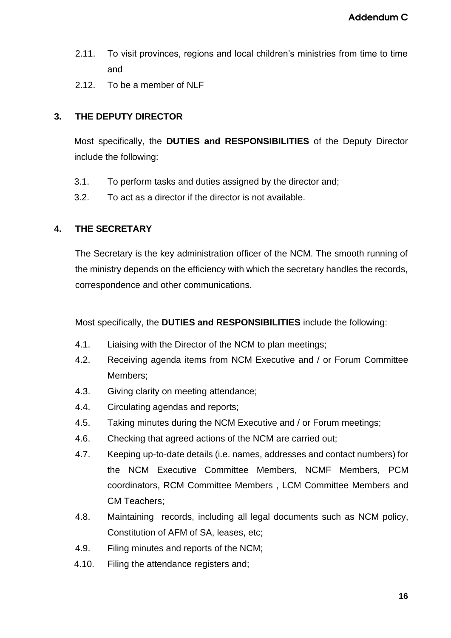- 2.11. To visit provinces, regions and local children's ministries from time to time and
- 2.12. To be a member of NLF

# **3. THE DEPUTY DIRECTOR**

Most specifically, the **DUTIES and RESPONSIBILITIES** of the Deputy Director include the following:

- 3.1. To perform tasks and duties assigned by the director and;
- 3.2. To act as a director if the director is not available.

# **4. THE SECRETARY**

The Secretary is the key administration officer of the NCM. The smooth running of the ministry depends on the efficiency with which the secretary handles the records, correspondence and other communications.

Most specifically, the **DUTIES and RESPONSIBILITIES** include the following:

- 4.1. Liaising with the Director of the NCM to plan meetings;
- 4.2. Receiving agenda items from NCM Executive and / or Forum Committee Members;
- 4.3. Giving clarity on meeting attendance;
- 4.4. Circulating agendas and reports;
- 4.5. Taking minutes during the NCM Executive and / or Forum meetings;
- 4.6. Checking that agreed actions of the NCM are carried out;
- 4.7. Keeping up-to-date details (i.e. names, addresses and contact numbers) for the NCM Executive Committee Members, NCMF Members, PCM coordinators, RCM Committee Members , LCM Committee Members and CM Teachers;
- 4.8. Maintaining records, including all legal documents such as NCM policy, Constitution of AFM of SA, leases, etc;
- 4.9. Filing minutes and reports of the NCM;
- 4.10. Filing the attendance registers and;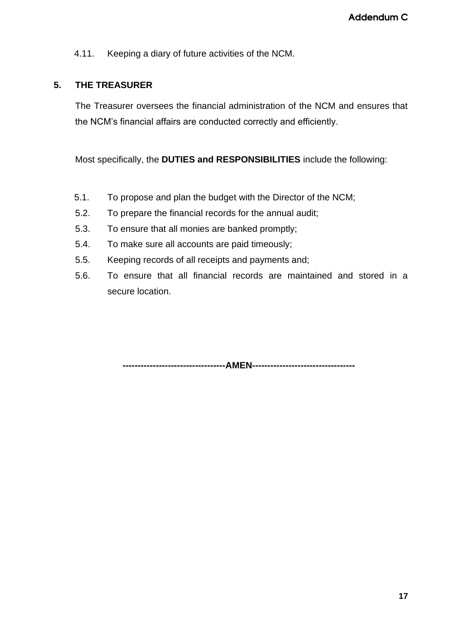4.11. Keeping a diary of future activities of the NCM.

#### **5. THE TREASURER**

The Treasurer oversees the financial administration of the NCM and ensures that the NCM's financial affairs are conducted correctly and efficiently.

Most specifically, the **DUTIES and RESPONSIBILITIES** include the following:

- 5.1. To propose and plan the budget with the Director of the NCM;
- 5.2. To prepare the financial records for the annual audit;
- 5.3. To ensure that all monies are banked promptly;
- 5.4. To make sure all accounts are paid timeously;
- 5.5. Keeping records of all receipts and payments and;
- 5.6. To ensure that all financial records are maintained and stored in a secure location.

**----------------------------------AMEN----------------------------------**